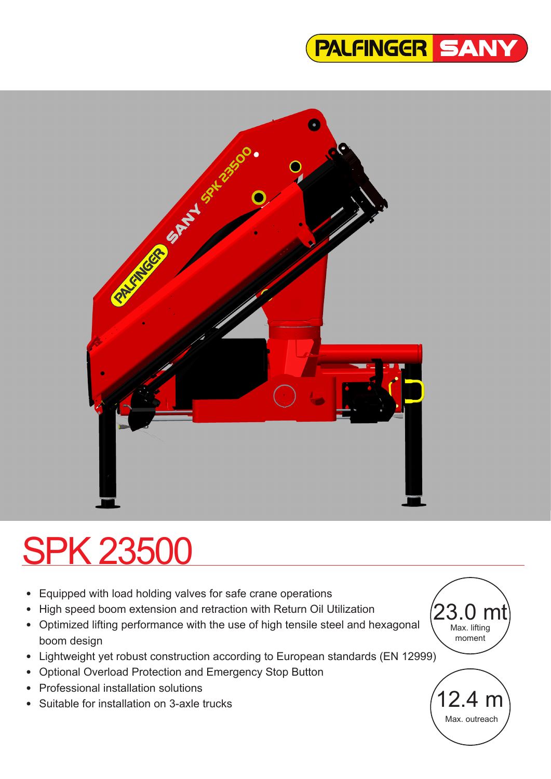



# SPK 23500

- Equipped with load holding valves for safe crane operations
- High speed boom extension and retraction with Return Oil Utilization
- Optimized lifting performance with the use of high tensile steel and hexagonal boom design
- Lightweight yet robust construction according to European standards (EN 12999)
- Optional Overload Protection and Emergency Stop Button
- Professional installation solutions
- Suitable for installation on 3-axle trucks

23.0 mt Max. lifting moment

12.4 m

Max. outreach